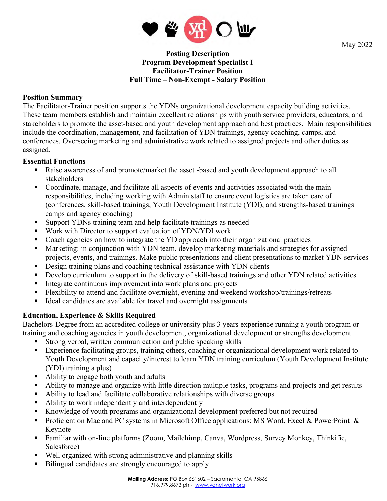

May 2022

## **Posting Description Program Development Specialist I Facilitator-Trainer Position Full Time – Non-Exempt - Salary Position**

## **Position Summary**

The Facilitator-Trainer position supports the YDNs organizational development capacity building activities. These team members establish and maintain excellent relationships with youth service providers, educators, and stakeholders to promote the asset-based and youth development approach and best practices. Main responsibilities include the coordination, management, and facilitation of YDN trainings, agency coaching, camps, and conferences. Overseeing marketing and administrative work related to assigned projects and other duties as assigned.

### **Essential Functions**

- Raise awareness of and promote/market the asset -based and youth development approach to all stakeholders
- Coordinate, manage, and facilitate all aspects of events and activities associated with the main responsibilities, including working with Admin staff to ensure event logistics are taken care of (conferences, skill-based trainings, Youth Development Institute (YDI), and strengths-based trainings – camps and agency coaching)
- Support YDNs training team and help facilitate trainings as needed
- Work with Director to support evaluation of YDN/YDI work
- Coach agencies on how to integrate the YD approach into their organizational practices
- Marketing: in conjunction with YDN team, develop marketing materials and strategies for assigned projects, events, and trainings. Make public presentations and client presentations to market YDN services
- Design training plans and coaching technical assistance with YDN clients
- Develop curriculum to support in the delivery of skill-based trainings and other YDN related activities
- **Integrate continuous improvement into work plans and projects**
- **Example 1** Flexibility to attend and facilitate overnight, evening and weekend workshop/trainings/retreats
- Ideal candidates are available for travel and overnight assignments

# **Education, Experience & Skills Required**

Bachelors-Degree from an accredited college or university plus 3 years experience running a youth program or training and coaching agencies in youth development, organizational development or strengths development

- Strong verbal, written communication and public speaking skills
- Experience facilitating groups, training others, coaching or organizational development work related to Youth Development and capacity/interest to learn YDN training curriculum (Youth Development Institute (YDI) training a plus)
- Ability to engage both youth and adults
- Ability to manage and organize with little direction multiple tasks, programs and projects and get results
- Ability to lead and facilitate collaborative relationships with diverse groups
- Ability to work independently and interdependently
- Knowledge of youth programs and organizational development preferred but not required
- Proficient on Mac and PC systems in Microsoft Office applications: MS Word, Excel & PowerPoint & Keynote
- Familiar with on-line platforms (Zoom, Mailchimp, Canva, Wordpress, Survey Monkey, Thinkific, Salesforce)
- Well organized with strong administrative and planning skills
- Bilingual candidates are strongly encouraged to apply